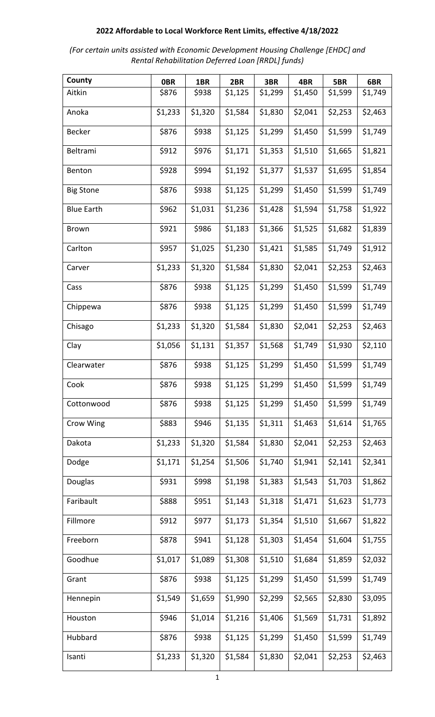| (For certain units assisted with Economic Development Housing Challenge [EHDC] and |
|------------------------------------------------------------------------------------|
| Rental Rehabilitation Deferred Loan [RRDL] funds)                                  |

| County            | <b>OBR</b> | 1BR     | 2BR     | 3BR     | 4BR     | 5BR     | 6BR     |
|-------------------|------------|---------|---------|---------|---------|---------|---------|
| Aitkin            | \$876      | \$938   | \$1,125 | \$1,299 | \$1,450 | \$1,599 | \$1,749 |
| Anoka             | \$1,233    | \$1,320 | \$1,584 | \$1,830 | \$2,041 | \$2,253 | \$2,463 |
| <b>Becker</b>     | \$876      | \$938   | \$1,125 | \$1,299 | \$1,450 | \$1,599 | \$1,749 |
| Beltrami          | \$912      | \$976   | \$1,171 | \$1,353 | \$1,510 | \$1,665 | \$1,821 |
| Benton            | \$928      | \$994   | \$1,192 | \$1,377 | \$1,537 | \$1,695 | \$1,854 |
| <b>Big Stone</b>  | \$876      | \$938   | \$1,125 | \$1,299 | \$1,450 | \$1,599 | \$1,749 |
| <b>Blue Earth</b> | \$962      | \$1,031 | \$1,236 | \$1,428 | \$1,594 | \$1,758 | \$1,922 |
| <b>Brown</b>      | \$921      | \$986   | \$1,183 | \$1,366 | \$1,525 | \$1,682 | \$1,839 |
| Carlton           | \$957      | \$1,025 | \$1,230 | \$1,421 | \$1,585 | \$1,749 | \$1,912 |
| Carver            | \$1,233    | \$1,320 | \$1,584 | \$1,830 | \$2,041 | \$2,253 | \$2,463 |
| Cass              | \$876      | \$938   | \$1,125 | \$1,299 | \$1,450 | \$1,599 | \$1,749 |
| Chippewa          | \$876      | \$938   | \$1,125 | \$1,299 | \$1,450 | \$1,599 | \$1,749 |
| Chisago           | \$1,233    | \$1,320 | \$1,584 | \$1,830 | \$2,041 | \$2,253 | \$2,463 |
| Clay              | \$1,056    | \$1,131 | \$1,357 | \$1,568 | \$1,749 | \$1,930 | \$2,110 |
| Clearwater        | \$876      | \$938   | \$1,125 | \$1,299 | \$1,450 | \$1,599 | \$1,749 |
| Cook              | \$876      | \$938   | \$1,125 | \$1,299 | \$1,450 | \$1,599 | \$1,749 |
| Cottonwood        | \$876      | \$938   | \$1,125 | \$1,299 | \$1,450 | \$1,599 | \$1,749 |
| Crow Wing         | \$883      | \$946   | \$1,135 | \$1,311 | \$1,463 | \$1,614 | \$1,765 |
| Dakota            | \$1,233    | \$1,320 | \$1,584 | \$1,830 | \$2,041 | \$2,253 | \$2,463 |
| Dodge             | \$1,171    | \$1,254 | \$1,506 | \$1,740 | \$1,941 | \$2,141 | \$2,341 |
| Douglas           | \$931      | \$998   | \$1,198 | \$1,383 | \$1,543 | \$1,703 | \$1,862 |
| Faribault         | \$888      | \$951   | \$1,143 | \$1,318 | \$1,471 | \$1,623 | \$1,773 |
| Fillmore          | \$912      | \$977   | \$1,173 | \$1,354 | \$1,510 | \$1,667 | \$1,822 |
| Freeborn          | \$878      | \$941   | \$1,128 | \$1,303 | \$1,454 | \$1,604 | \$1,755 |
| Goodhue           | \$1,017    | \$1,089 | \$1,308 | \$1,510 | \$1,684 | \$1,859 | \$2,032 |
| Grant             | \$876      | \$938   | \$1,125 | \$1,299 | \$1,450 | \$1,599 | \$1,749 |
| Hennepin          | \$1,549    | \$1,659 | \$1,990 | \$2,299 | \$2,565 | \$2,830 | \$3,095 |
| Houston           | \$946      | \$1,014 | \$1,216 | \$1,406 | \$1,569 | \$1,731 | \$1,892 |
| Hubbard           | \$876      | \$938   | \$1,125 | \$1,299 | \$1,450 | \$1,599 | \$1,749 |
| Isanti            | \$1,233    | \$1,320 | \$1,584 | \$1,830 | \$2,041 | \$2,253 | \$2,463 |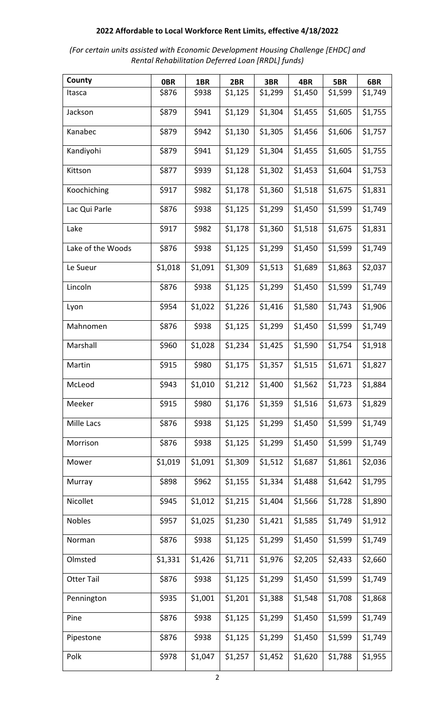| (For certain units assisted with Economic Development Housing Challenge [EHDC] and |
|------------------------------------------------------------------------------------|
| Rental Rehabilitation Deferred Loan [RRDL] funds)                                  |

| County            | <b>OBR</b> | 1BR     | 2BR     | 3BR     | 4BR     | 5BR     | 6BR     |
|-------------------|------------|---------|---------|---------|---------|---------|---------|
| Itasca            | \$876      | \$938   | \$1,125 | \$1,299 | \$1,450 | \$1,599 | \$1,749 |
| Jackson           | \$879      | \$941   | \$1,129 | \$1,304 | \$1,455 | \$1,605 | \$1,755 |
| Kanabec           | \$879      | \$942   | \$1,130 | \$1,305 | \$1,456 | \$1,606 | \$1,757 |
| Kandiyohi         | \$879      | \$941   | \$1,129 | \$1,304 | \$1,455 | \$1,605 | \$1,755 |
| Kittson           | \$877      | \$939   | \$1,128 | \$1,302 | \$1,453 | \$1,604 | \$1,753 |
| Koochiching       | \$917      | \$982   | \$1,178 | \$1,360 | \$1,518 | \$1,675 | \$1,831 |
| Lac Qui Parle     | \$876      | \$938   | \$1,125 | \$1,299 | \$1,450 | \$1,599 | \$1,749 |
| Lake              | \$917      | \$982   | \$1,178 | \$1,360 | \$1,518 | \$1,675 | \$1,831 |
| Lake of the Woods | \$876      | \$938   | \$1,125 | \$1,299 | \$1,450 | \$1,599 | \$1,749 |
| Le Sueur          | \$1,018    | \$1,091 | \$1,309 | \$1,513 | \$1,689 | \$1,863 | \$2,037 |
| Lincoln           | \$876      | \$938   | \$1,125 | \$1,299 | \$1,450 | \$1,599 | \$1,749 |
| Lyon              | \$954      | \$1,022 | \$1,226 | \$1,416 | \$1,580 | \$1,743 | \$1,906 |
| Mahnomen          | \$876      | \$938   | \$1,125 | \$1,299 | \$1,450 | \$1,599 | \$1,749 |
| Marshall          | \$960      | \$1,028 | \$1,234 | \$1,425 | \$1,590 | \$1,754 | \$1,918 |
| Martin            | \$915      | \$980   | \$1,175 | \$1,357 | \$1,515 | \$1,671 | \$1,827 |
| McLeod            | \$943      | \$1,010 | \$1,212 | \$1,400 | \$1,562 | \$1,723 | \$1,884 |
| Meeker            | \$915      | \$980   | \$1,176 | \$1,359 | \$1,516 | \$1,673 | \$1,829 |
| Mille Lacs        | \$876      | \$938   | \$1,125 | \$1,299 | \$1,450 | \$1,599 | \$1,749 |
| Morrison          | \$876      | \$938   | \$1,125 | \$1,299 | \$1,450 | \$1,599 | \$1,749 |
| Mower             | \$1,019    | \$1,091 | \$1,309 | \$1,512 | \$1,687 | \$1,861 | \$2,036 |
| Murray            | \$898      | \$962   | \$1,155 | \$1,334 | \$1,488 | \$1,642 | \$1,795 |
| Nicollet          | \$945      | \$1,012 | \$1,215 | \$1,404 | \$1,566 | \$1,728 | \$1,890 |
| <b>Nobles</b>     | \$957      | \$1,025 | \$1,230 | \$1,421 | \$1,585 | \$1,749 | \$1,912 |
| Norman            | \$876      | \$938   | \$1,125 | \$1,299 | \$1,450 | \$1,599 | \$1,749 |
| Olmsted           | \$1,331    | \$1,426 | \$1,711 | \$1,976 | \$2,205 | \$2,433 | \$2,660 |
| <b>Otter Tail</b> | \$876      | \$938   | \$1,125 | \$1,299 | \$1,450 | \$1,599 | \$1,749 |
| Pennington        | \$935      | \$1,001 | \$1,201 | \$1,388 | \$1,548 | \$1,708 | \$1,868 |
| Pine              | \$876      | \$938   | \$1,125 | \$1,299 | \$1,450 | \$1,599 | \$1,749 |
| Pipestone         | \$876      | \$938   | \$1,125 | \$1,299 | \$1,450 | \$1,599 | \$1,749 |
| Polk              | \$978      | \$1,047 | \$1,257 | \$1,452 | \$1,620 | \$1,788 | \$1,955 |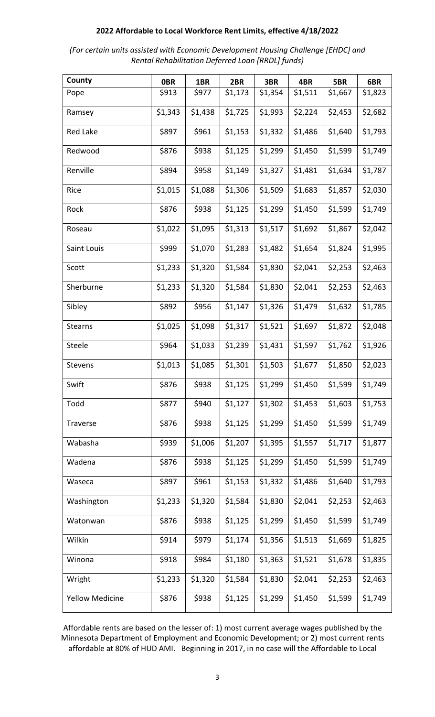| (For certain units assisted with Economic Development Housing Challenge [EHDC] and |
|------------------------------------------------------------------------------------|
| Rental Rehabilitation Deferred Loan [RRDL] funds)                                  |

| County                 | <b>OBR</b> | 1BR     | 2BR     | 3BR     | 4BR     | 5BR     | 6BR     |
|------------------------|------------|---------|---------|---------|---------|---------|---------|
| Pope                   | \$913      | \$977   | \$1,173 | \$1,354 | \$1,511 | \$1,667 | \$1,823 |
| Ramsey                 | \$1,343    | \$1,438 | \$1,725 | \$1,993 | \$2,224 | \$2,453 | \$2,682 |
| <b>Red Lake</b>        | \$897      | \$961   | \$1,153 | \$1,332 | \$1,486 | \$1,640 | \$1,793 |
| Redwood                | \$876      | \$938   | \$1,125 | \$1,299 | \$1,450 | \$1,599 | \$1,749 |
| Renville               | \$894      | \$958   | \$1,149 | \$1,327 | \$1,481 | \$1,634 | \$1,787 |
| Rice                   | \$1,015    | \$1,088 | \$1,306 | \$1,509 | \$1,683 | \$1,857 | \$2,030 |
| Rock                   | \$876      | \$938   | \$1,125 | \$1,299 | \$1,450 | \$1,599 | \$1,749 |
| Roseau                 | \$1,022    | \$1,095 | \$1,313 | \$1,517 | \$1,692 | \$1,867 | \$2,042 |
| Saint Louis            | \$999      | \$1,070 | \$1,283 | \$1,482 | \$1,654 | \$1,824 | \$1,995 |
| Scott                  | \$1,233    | \$1,320 | \$1,584 | \$1,830 | \$2,041 | \$2,253 | \$2,463 |
| Sherburne              | \$1,233    | \$1,320 | \$1,584 | \$1,830 | \$2,041 | \$2,253 | \$2,463 |
| Sibley                 | \$892      | \$956   | \$1,147 | \$1,326 | \$1,479 | \$1,632 | \$1,785 |
| Stearns                | \$1,025    | \$1,098 | \$1,317 | \$1,521 | \$1,697 | \$1,872 | \$2,048 |
| Steele                 | \$964      | \$1,033 | \$1,239 | \$1,431 | \$1,597 | \$1,762 | \$1,926 |
| Stevens                | \$1,013    | \$1,085 | \$1,301 | \$1,503 | \$1,677 | \$1,850 | \$2,023 |
| Swift                  | \$876      | \$938   | \$1,125 | \$1,299 | \$1,450 | \$1,599 | \$1,749 |
| Todd                   | \$877      | \$940   | \$1,127 | \$1,302 | \$1,453 | \$1,603 | \$1,753 |
| Traverse               | \$876      | \$938   | \$1,125 | \$1,299 | \$1,450 | \$1,599 | \$1,749 |
| Wabasha                | \$939      | \$1,006 | \$1,207 | \$1,395 | \$1,557 | \$1,717 | \$1,877 |
| Wadena                 | \$876      | \$938   | \$1,125 | \$1,299 | \$1,450 | \$1,599 | \$1,749 |
| Waseca                 | \$897      | \$961   | \$1,153 | \$1,332 | \$1,486 | \$1,640 | \$1,793 |
| Washington             | \$1,233    | \$1,320 | \$1,584 | \$1,830 | \$2,041 | \$2,253 | \$2,463 |
| Watonwan               | \$876      | \$938   | \$1,125 | \$1,299 | \$1,450 | \$1,599 | \$1,749 |
| Wilkin                 | \$914      | \$979   | \$1,174 | \$1,356 | \$1,513 | \$1,669 | \$1,825 |
| Winona                 | \$918      | \$984   | \$1,180 | \$1,363 | \$1,521 | \$1,678 | \$1,835 |
| Wright                 | \$1,233    | \$1,320 | \$1,584 | \$1,830 | \$2,041 | \$2,253 | \$2,463 |
| <b>Yellow Medicine</b> | \$876      | \$938   | \$1,125 | \$1,299 | \$1,450 | \$1,599 | \$1,749 |

Affordable rents are based on the lesser of: 1) most current average wages published by the Minnesota Department of Employment and Economic Development; or 2) most current rents affordable at 80% of HUD AMI. Beginning in 2017, in no case will the Affordable to Local